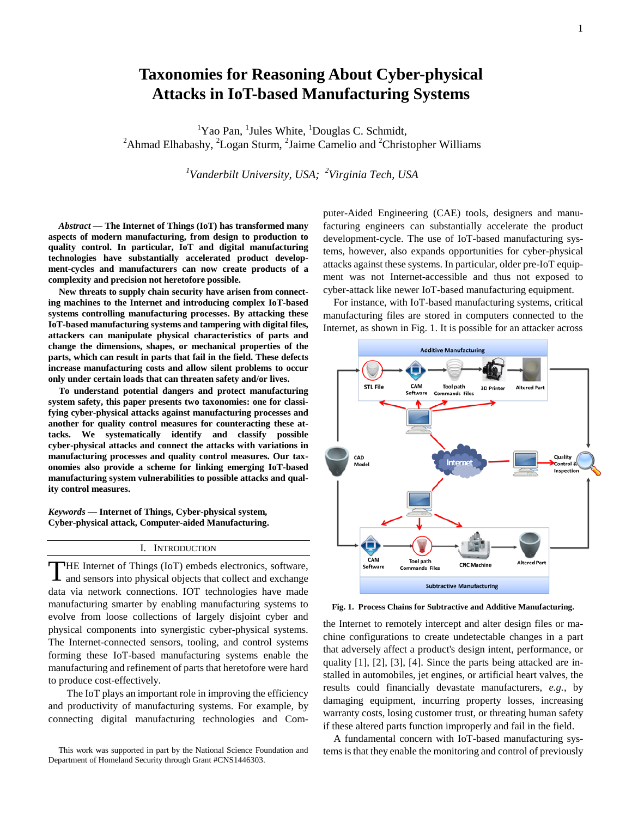# **Taxonomies for Reasoning About Cyber-physical Attacks in IoT-based Manufacturing Systems**

<sup>1</sup>Yao Pan, <sup>1</sup>Jules White, <sup>1</sup>Douglas C. Schmidt, <sup>2</sup>Ahmad Elhabashy, <sup>2</sup>Logan Sturm, <sup>2</sup>[Jaime Camelio](https://plus.google.com/u/0/107370528677151586975?prsrc=4) and <sup>2</sup>Christopher Williams

*1 Vanderbilt University, USA; 2 Virginia Tech, USA*

*Abstract* **— The Internet of Things (IoT) has transformed many aspects of modern manufacturing, from design to production to quality control. In particular, IoT and digital manufacturing technologies have substantially accelerated product development-cycles and manufacturers can now create products of a complexity and precision not heretofore possible.** 

**New threats to supply chain security have arisen from connecting machines to the Internet and introducing complex IoT-based systems controlling manufacturing processes. By attacking these IoT-based manufacturing systems and tampering with digital files, attackers can manipulate physical characteristics of parts and change the dimensions, shapes, or mechanical properties of the parts, which can result in parts that fail in the field. These defects increase manufacturing costs and allow silent problems to occur only under certain loads that can threaten safety and/or lives.**

**To understand potential dangers and protect manufacturing system safety, this paper presents two taxonomies: one for classifying cyber-physical attacks against manufacturing processes and another for quality control measures for counteracting these attacks. We systematically identify and classify possible cyber-physical attacks and connect the attacks with variations in manufacturing processes and quality control measures. Our taxonomies also provide a scheme for linking emerging IoT-based manufacturing system vulnerabilities to possible attacks and quality control measures.**

*Keywords* **— Internet of Things, Cyber-physical system, Cyber-physical attack, Computer-aided Manufacturing.**

## I. INTRODUCTION

HE Internet of Things (IoT) embeds electronics, software, and sensors into physical objects that collect and exchange data via network connections. IOT technologies have made manufacturing smarter by enabling manufacturing systems to evolve from loose collections of largely disjoint cyber and physical components into synergistic cyber-physical systems. The Internet-connected sensors, tooling, and control systems forming these IoT-based manufacturing systems enable the manufacturing and refinement of parts that heretofore were hard to produce cost-effectively. T

The IoT plays an important role in improving the efficiency and productivity of manufacturing systems. For example, by connecting digital manufacturing technologies and Com-

This work was supported in part by the National Science Foundation and Department of Homeland Security through Grant #CNS1446303.

puter-Aided Engineering (CAE) tools, designers and manufacturing engineers can substantially accelerate the product development-cycle. The use of IoT-based manufacturing systems, however, also expands opportunities for cyber-physical attacks against these systems. In particular, older pre-IoT equipment was not Internet-accessible and thus not exposed to cyber-attack like newer IoT-based manufacturing equipment.

For instance, with IoT-based manufacturing systems, critical manufacturing files are stored in computers connected to the Internet, as shown in Fig. 1. It is possible for an attacker across



**Fig. 1. Process Chains for Subtractive and Additive Manufacturing.**

the Internet to remotely intercept and alter design files or machine configurations to create undetectable changes in a part that adversely affect a product's design intent, performance, or quality [1], [2], [3], [4]. Since the parts being attacked are installed in automobiles, jet engines, or artificial heart valves, the results could financially devastate manufacturers, *e.g.*, by damaging equipment, incurring property losses, increasing warranty costs, losing customer trust, or threating human safety if these altered parts function improperly and fail in the field.

A fundamental concern with IoT-based manufacturing systems is that they enable the monitoring and control of previously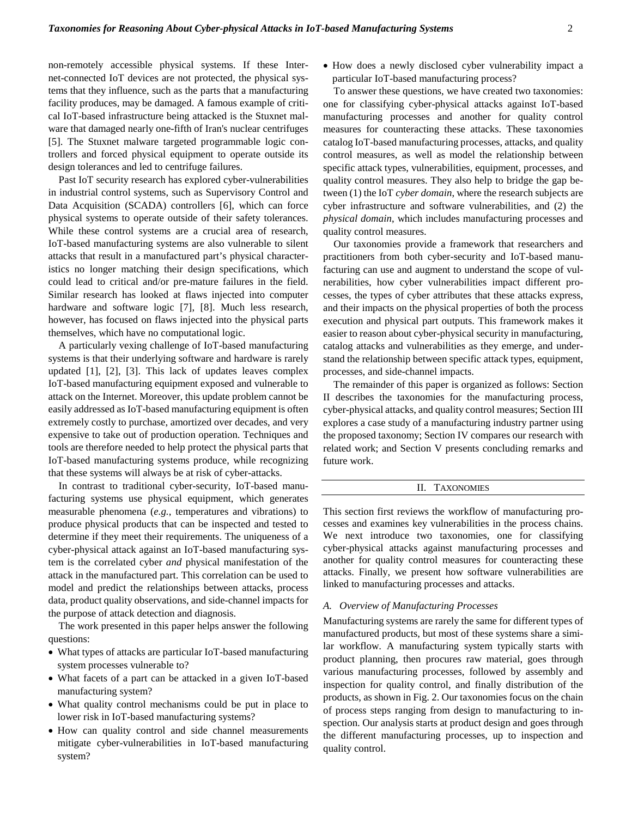non-remotely accessible physical systems. If these Internet-connected IoT devices are not protected, the physical systems that they influence, such as the parts that a manufacturing facility produces, may be damaged. A famous example of critical IoT-based infrastructure being attacked is the Stuxnet malware that damaged nearly one-fifth of Iran's [nuclear centrifuges](https://en.wikipedia.org/wiki/Nuclear_centrifuge) [5]. The Stuxnet malware targeted programmable logic controllers and forced physical equipment to operate outside its design tolerances and led to centrifuge failures.

Past IoT security research has explored cyber-vulnerabilities in industrial control systems, such as Supervisory Control and Data Acquisition (SCADA) controllers [6], which can force physical systems to operate outside of their safety tolerances. While these control systems are a crucial area of research, IoT-based manufacturing systems are also vulnerable to silent attacks that result in a manufactured part's physical characteristics no longer matching their design specifications, which could lead to critical and/or pre-mature failures in the field. Similar research has looked at flaws injected into computer hardware and software logic [7], [8]. Much less research, however, has focused on flaws injected into the physical parts themselves, which have no computational logic.

A particularly vexing challenge of IoT-based manufacturing systems is that their underlying software and hardware is rarely updated [1], [2], [3]. This lack of updates leaves complex IoT-based manufacturing equipment exposed and vulnerable to attack on the Internet. Moreover, this update problem cannot be easily addressed as IoT-based manufacturing equipment is often extremely costly to purchase, amortized over decades, and very expensive to take out of production operation. Techniques and tools are therefore needed to help protect the physical parts that IoT-based manufacturing systems produce, while recognizing that these systems will always be at risk of cyber-attacks.

In contrast to traditional cyber-security, IoT-based manufacturing systems use physical equipment, which generates measurable phenomena (*e.g.*, temperatures and vibrations) to produce physical products that can be inspected and tested to determine if they meet their requirements. The uniqueness of a cyber-physical attack against an IoT-based manufacturing system is the correlated cyber *and* physical manifestation of the attack in the manufactured part. This correlation can be used to model and predict the relationships between attacks, process data, product quality observations, and side-channel impacts for the purpose of attack detection and diagnosis.

The work presented in this paper helps answer the following questions:

- What types of attacks are particular IoT-based manufacturing system processes vulnerable to?
- What facets of a part can be attacked in a given IoT-based manufacturing system?
- What quality control mechanisms could be put in place to lower risk in IoT-based manufacturing systems?
- How can quality control and side channel measurements mitigate cyber-vulnerabilities in IoT-based manufacturing system?

• How does a newly disclosed cyber vulnerability impact a particular IoT-based manufacturing process?

To answer these questions, we have created two taxonomies: one for classifying cyber-physical attacks against IoT-based manufacturing processes and another for quality control measures for counteracting these attacks. These taxonomies catalog IoT-based manufacturing processes, attacks, and quality control measures, as well as model the relationship between specific attack types, vulnerabilities, equipment, processes, and quality control measures. They also help to bridge the gap between (1) the IoT *cyber domain*, where the research subjects are cyber infrastructure and software vulnerabilities, and (2) the *physical domain*, which includes manufacturing processes and quality control measures.

Our taxonomies provide a framework that researchers and practitioners from both cyber-security and IoT-based manufacturing can use and augment to understand the scope of vulnerabilities, how cyber vulnerabilities impact different processes, the types of cyber attributes that these attacks express, and their impacts on the physical properties of both the process execution and physical part outputs. This framework makes it easier to reason about cyber-physical security in manufacturing, catalog attacks and vulnerabilities as they emerge, and understand the relationship between specific attack types, equipment, processes, and side-channel impacts.

The remainder of this paper is organized as follows: Section II describes the taxonomies for the manufacturing process, cyber-physical attacks, and quality control measures; Section III explores a case study of a manufacturing industry partner using the proposed taxonomy; Section IV compares our research with related work; and Section V presents concluding remarks and future work.

## II. TAXONOMIES

This section first reviews the workflow of manufacturing processes and examines key vulnerabilities in the process chains. We next introduce two taxonomies, one for classifying cyber-physical attacks against manufacturing processes and another for quality control measures for counteracting these attacks. Finally, we present how software vulnerabilities are linked to manufacturing processes and attacks.

## *A. Overview of Manufacturing Processes*

Manufacturing systems are rarely the same for different types of manufactured products, but most of these systems share a similar workflow. A manufacturing system typically starts with product planning, then procures raw material, goes through various manufacturing processes, followed by assembly and inspection for quality control, and finally distribution of the products, as shown in Fig. 2. Our taxonomies focus on the chain of process steps ranging from design to manufacturing to inspection. Our analysis starts at product design and goes through the different manufacturing processes, up to inspection and quality control.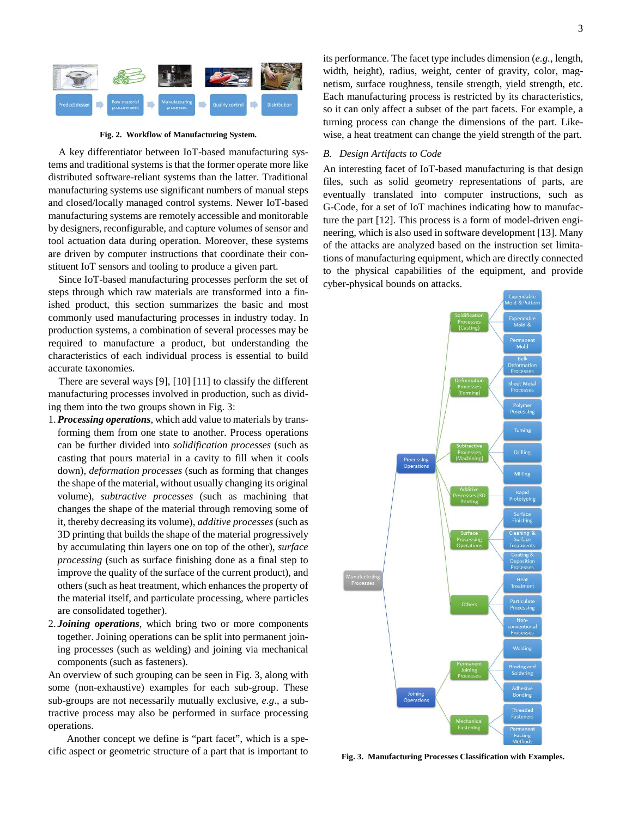

**Fig. 2. Workflow of Manufacturing System.**

A key differentiator between IoT-based manufacturing systems and traditional systems is that the former operate more like distributed software-reliant systems than the latter. Traditional manufacturing systems use significant numbers of manual steps and closed/locally managed control systems. Newer IoT-based manufacturing systems are remotely accessible and monitorable by designers, reconfigurable, and capture volumes of sensor and tool actuation data during operation. Moreover, these systems are driven by computer instructions that coordinate their constituent IoT sensors and tooling to produce a given part.

Since IoT-based manufacturing processes perform the set of steps through which raw materials are transformed into a finished product, this section summarizes the basic and most commonly used manufacturing processes in industry today. In production systems, a combination of several processes may be required to manufacture a product, but understanding the characteristics of each individual process is essential to build accurate taxonomies.

There are several ways [9], [10] [11] to classify the different manufacturing processes involved in production, such as dividing them into the two groups shown in Fig. 3:

- 1.*Processing operations*, which add value to materials by transforming them from one state to another. Process operations can be further divided into *solidification processes* (such as casting that pours material in a cavity to fill when it cools down), *deformation processes* (such as forming that changes the shape of the material, without usually changing its original volume), *subtractive processes* (such as machining that changes the shape of the material through removing some of it, thereby decreasing its volume), *additive processes* (such as 3D printing that builds the shape of the material progressively by accumulating thin layers one on top of the other), *surface processing* (such as surface finishing done as a final step to improve the quality of the surface of the current product), and others (such as heat treatment, which enhances the property of the material itself, and particulate processing, where particles are consolidated together).
- 2. *Joining operations*, which bring two or more components together. Joining operations can be split into permanent joining processes (such as welding) and joining via mechanical components (such as fasteners).

An overview of such grouping can be seen in Fig. 3, along with some (non-exhaustive) examples for each sub-group. These sub-groups are not necessarily mutually exclusive, *e.g*., a subtractive process may also be performed in surface processing operations.

Another concept we define is "part facet", which is a specific aspect or geometric structure of a part that is important to its performance. The facet type includes dimension (*e.g.*, length, width, height), radius, weight, center of gravity, color, magnetism, surface roughness, tensile strength, yield strength, etc. Each manufacturing process is restricted by its characteristics, so it can only affect a subset of the part facets. For example, a turning process can change the dimensions of the part. Likewise, a heat treatment can change the yield strength of the part.

#### *B. Design Artifacts to Code*

An interesting facet of IoT-based manufacturing is that design files, such as solid geometry representations of parts, are eventually translated into computer instructions, such as G-Code, for a set of IoT machines indicating how to manufacture the part [12]. This process is a form of model-driven engineering, which is also used in software development [13]. Many of the attacks are analyzed based on the instruction set limitations of manufacturing equipment, which are directly connected to the physical capabilities of the equipment, and provide cyber-physical bounds on attacks.



**Fig. 3. Manufacturing Processes Classification with Examples.**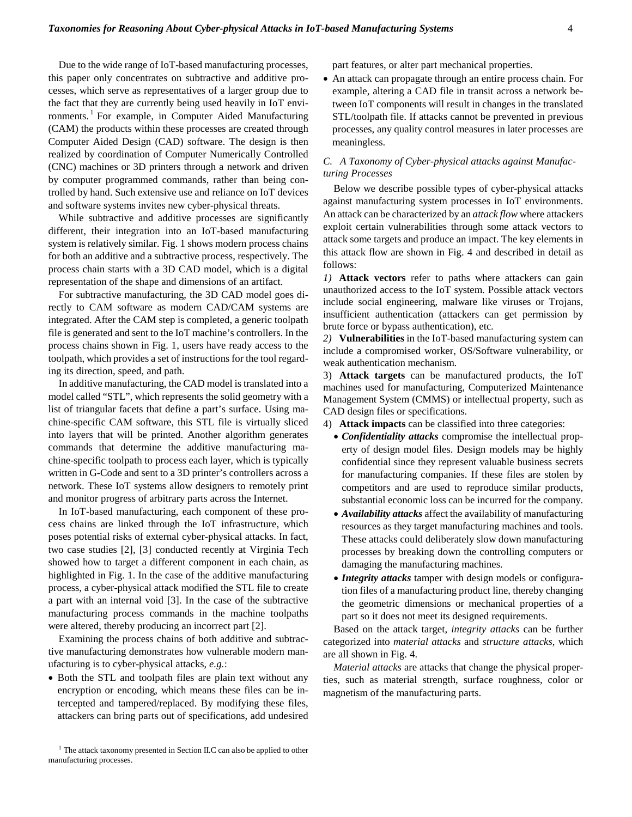Due to the wide range of IoT-based manufacturing processes, this paper only concentrates on subtractive and additive processes, which serve as representatives of a larger group due to the fact that they are currently being used heavily in IoT envi-ronments.<sup>[1](#page-3-0)</sup> For example, in Computer Aided Manufacturing (CAM) the products within these processes are created through Computer Aided Design (CAD) software. The design is then realized by coordination of Computer Numerically Controlled (CNC) machines or 3D printers through a network and driven by computer programmed commands, rather than being controlled by hand. Such extensive use and reliance on IoT devices and software systems invites new cyber-physical threats.

While subtractive and additive processes are significantly different, their integration into an IoT-based manufacturing system is relatively similar. Fig. 1 shows modern process chains for both an additive and a subtractive process, respectively. The process chain starts with a 3D CAD model, which is a digital representation of the shape and dimensions of an artifact.

For subtractive manufacturing, the 3D CAD model goes directly to CAM software as modern CAD/CAM systems are integrated. After the CAM step is completed, a generic toolpath file is generated and sent to the IoT machine's controllers. In the process chains shown in Fig. 1, users have ready access to the toolpath, which provides a set of instructions for the tool regarding its direction, speed, and path.

In additive manufacturing, the CAD model is translated into a model called "STL", which represents the solid geometry with a list of triangular facets that define a part's surface. Using machine-specific CAM software, this STL file is virtually sliced into layers that will be printed. Another algorithm generates commands that determine the additive manufacturing machine-specific toolpath to process each layer, which is typically written in G-Code and sent to a 3D printer's controllers across a network. These IoT systems allow designers to remotely print and monitor progress of arbitrary parts across the Internet.

In IoT-based manufacturing, each component of these process chains are linked through the IoT infrastructure, which poses potential risks of external cyber-physical attacks. In fact, two case studies [2], [3] conducted recently at Virginia Tech showed how to target a different component in each chain, as highlighted in Fig. 1. In the case of the additive manufacturing process, a cyber-physical attack modified the STL file to create a part with an internal void [3]. In the case of the subtractive manufacturing process commands in the machine toolpaths were altered, thereby producing an incorrect part [2].

Examining the process chains of both additive and subtractive manufacturing demonstrates how vulnerable modern manufacturing is to cyber-physical attacks, *e.g.*:

• Both the STL and toolpath files are plain text without any encryption or encoding, which means these files can be intercepted and tampered/replaced. By modifying these files, attackers can bring parts out of specifications, add undesired

part features, or alter part mechanical properties.

• An attack can propagate through an entire process chain. For example, altering a CAD file in transit across a network between IoT components will result in changes in the translated STL/toolpath file. If attacks cannot be prevented in previous processes, any quality control measures in later processes are meaningless.

# *C. A Taxonomy of Cyber-physical attacks against Manufacturing Processes*

Below we describe possible types of cyber-physical attacks against manufacturing system processes in IoT environments. An attack can be characterized by an *attack flow* where attackers exploit certain vulnerabilities through some attack vectors to attack some targets and produce an impact. The key elements in this attack flow are shown in Fig. 4 and described in detail as follows:

*1)* **Attack vectors** refer to paths where attackers can gain unauthorized access to the IoT system. Possible attack vectors include social engineering, malware like viruses or Trojans, insufficient authentication (attackers can get permission by brute force or bypass authentication), etc*.* 

*2)* **Vulnerabilities** in the IoT-based manufacturing system can include a compromised worker, OS/Software vulnerability, or weak authentication mechanism.

3) **Attack targets** can be manufactured products, the IoT machines used for manufacturing, Computerized Maintenance Management System (CMMS) or intellectual property, such as CAD design files or specifications.

4) **Attack impacts** can be classified into three categories:

- *Confidentiality attacks* compromise the intellectual property of design model files. Design models may be highly confidential since they represent valuable business secrets for manufacturing companies. If these files are stolen by competitors and are used to reproduce similar products, substantial economic loss can be incurred for the company.
- *Availability attacks* affect the availability of manufacturing resources as they target manufacturing machines and tools. These attacks could deliberately slow down manufacturing processes by breaking down the controlling computers or damaging the manufacturing machines.
- *Integrity attacks* tamper with design models or configuration files of a manufacturing product line, thereby changing the geometric dimensions or mechanical properties of a part so it does not meet its designed requirements.

Based on the attack target, *integrity attacks* can be further categorized into *material attacks* and *structure attacks*, which are all shown in Fig. 4.

*Material attacks* are attacks that change the physical properties, such as material strength, surface roughness, color or magnetism of the manufacturing parts.

<span id="page-3-0"></span><sup>&</sup>lt;sup>1</sup> The attack taxonomy presented in Section II.C can also be applied to other manufacturing processes.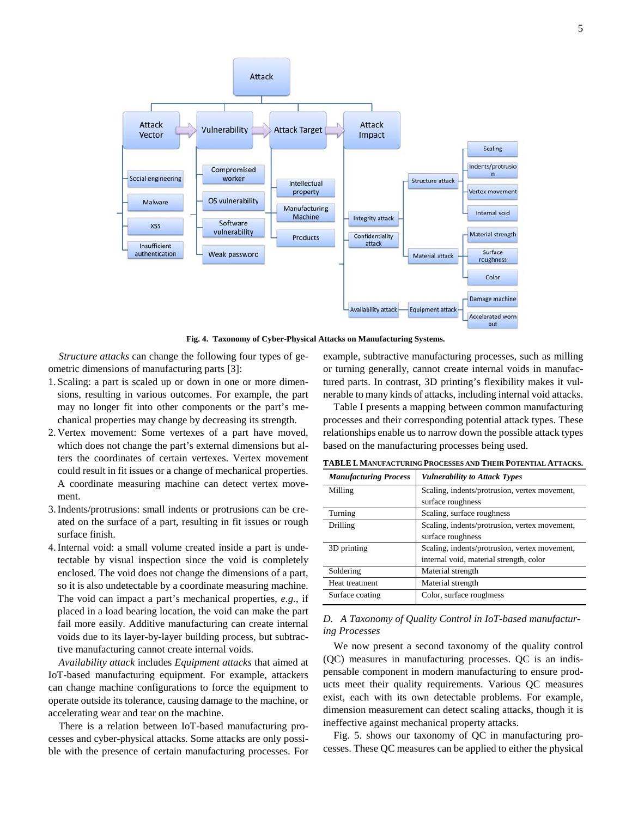

**Fig. 4. Taxonomy of Cyber-Physical Attacks on Manufacturing Systems.**

*Structure attacks* can change the following four types of geometric dimensions of manufacturing parts [3]:

- 1. Scaling: a part is scaled up or down in one or more dimensions, resulting in various outcomes. For example, the part may no longer fit into other components or the part's mechanical properties may change by decreasing its strength.
- 2. Vertex movement: Some vertexes of a part have moved, which does not change the part's external dimensions but alters the coordinates of certain vertexes. Vertex movement could result in fit issues or a change of mechanical properties. A coordinate measuring machine can detect vertex movement.
- 3.Indents/protrusions: small indents or protrusions can be created on the surface of a part, resulting in fit issues or rough surface finish.
- 4.Internal void: a small volume created inside a part is undetectable by visual inspection since the void is completely enclosed. The void does not change the dimensions of a part, so it is also undetectable by a coordinate measuring machine. The void can impact a part's mechanical properties, *e.g.*, if placed in a load bearing location, the void can make the part fail more easily. Additive manufacturing can create internal voids due to its layer-by-layer building process, but subtractive manufacturing cannot create internal voids.

*Availability attack* includes *Equipment attacks* that aimed at IoT-based manufacturing equipment. For example, attackers can change machine configurations to force the equipment to operate outside its tolerance, causing damage to the machine, or accelerating wear and tear on the machine.

There is a relation between IoT-based manufacturing processes and cyber-physical attacks. Some attacks are only possible with the presence of certain manufacturing processes. For example, subtractive manufacturing processes, such as milling or turning generally, cannot create internal voids in manufactured parts. In contrast, 3D printing's flexibility makes it vulnerable to many kinds of attacks, including internal void attacks.

Table I presents a mapping between common manufacturing processes and their corresponding potential attack types. These relationships enable us to narrow down the possible attack types based on the manufacturing processes being used.

| <b>Manufacturing Process</b> | <b>Vulnerability to Attack Types</b>          |  |
|------------------------------|-----------------------------------------------|--|
| Milling                      | Scaling, indents/protrusion, vertex movement, |  |
|                              | surface roughness                             |  |
| Turning                      | Scaling, surface roughness                    |  |
| Drilling                     | Scaling, indents/protrusion, vertex movement, |  |
|                              | surface roughness                             |  |
| 3D printing                  | Scaling, indents/protrusion, vertex movement, |  |
|                              | internal void, material strength, color       |  |
| Soldering                    | Material strength                             |  |
| Heat treatment               | Material strength                             |  |
| Surface coating              | Color, surface roughness                      |  |

**TABLE I. MANUFACTURING PROCESSES AND THEIR POTENTIAL ATTACKS.**

# *D. A Taxonomy of Quality Control in IoT-based manufacturing Processes*

We now present a second taxonomy of the quality control (QC) measures in manufacturing processes. QC is an indispensable component in modern manufacturing to ensure products meet their quality requirements. Various QC measures exist, each with its own detectable problems. For example, dimension measurement can detect scaling attacks, though it is ineffective against mechanical property attacks.

Fig. 5. shows our taxonomy of QC in manufacturing processes. These QC measures can be applied to either the physical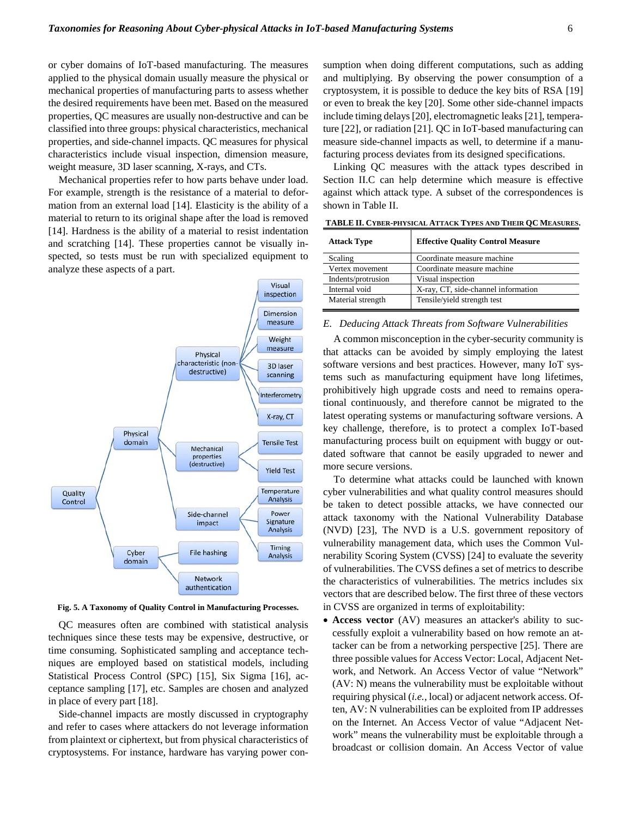or cyber domains of IoT-based manufacturing. The measures applied to the physical domain usually measure the physical or mechanical properties of manufacturing parts to assess whether the desired requirements have been met. Based on the measured properties, QC measures are usually non-destructive and can be classified into three groups: physical characteristics, mechanical properties, and side-channel impacts. QC measures for physical characteristics include visual inspection, dimension measure, weight measure, 3D laser scanning, X-rays, and CTs.

Mechanical properties refer to how parts behave under load. For example, strength is the resistance of a material to deformation from an external load [14]. Elasticity is the ability of a material to return to its original shape after the load is removed [14]. Hardness is the ability of a material to resist indentation and scratching [14]. These properties cannot be visually inspected, so tests must be run with specialized equipment to analyze these aspects of a part.



**Fig. 5. A Taxonomy of Quality Control in Manufacturing Processes.**

QC measures often are combined with statistical analysis techniques since these tests may be expensive, destructive, or time consuming. Sophisticated sampling and acceptance techniques are employed based on statistical models, including Statistical Process Control (SPC) [15], Six Sigma [16], acceptance sampling [17], etc. Samples are chosen and analyzed in place of every part [18].

Side-channel impacts are mostly discussed in cryptography and refer to cases where attackers do not leverage information from plaintext or ciphertext, but from physical characteristics of cryptosystems. For instance, hardware has varying power consumption when doing different computations, such as adding and multiplying. By observing the power consumption of a cryptosystem, it is possible to deduce the key bits of RSA [19] or even to break the key [20]. Some other side-channel impacts include timing delays[20], electromagnetic leaks [21], temperature [22], or radiation [21]. QC in IoT-based manufacturing can measure side-channel impacts as well, to determine if a manufacturing process deviates from its designed specifications.

Linking QC measures with the attack types described in Section II.C can help determine which measure is effective against which attack type. A subset of the correspondences is shown in Table II.

| <b>Attack Type</b> | <b>Effective Quality Control Measure</b> |
|--------------------|------------------------------------------|
| Scaling            | Coordinate measure machine               |
| Vertex movement    | Coordinate measure machine               |
| Indents/protrusion | Visual inspection                        |
| Internal void      | X-ray, CT, side-channel information      |
| Material strength  | Tensile/yield strength test              |

**TABLE II. CYBER-PHYSICAL ATTACK TYPES AND THEIR QC MEASURES.**

## *E. Deducing Attack Threats from Software Vulnerabilities*

A common misconception in the cyber-security community is that attacks can be avoided by simply employing the latest software versions and best practices. However, many IoT systems such as manufacturing equipment have long lifetimes, prohibitively high upgrade costs and need to remains operational continuously, and therefore cannot be migrated to the latest operating systems or manufacturing software versions. A key challenge, therefore, is to protect a complex IoT-based manufacturing process built on equipment with buggy or outdated software that cannot be easily upgraded to newer and more secure versions.

To determine what attacks could be launched with known cyber vulnerabilities and what quality control measures should be taken to detect possible attacks, we have connected our attack taxonomy with the National Vulnerability Database (NVD) [23], The NVD is a U.S. government repository of vulnerability management data, which uses the Common Vulnerability Scoring System (CVSS) [24] to evaluate the severity of vulnerabilities. The CVSS defines a set of metrics to describe the characteristics of vulnerabilities. The metrics includes six vectors that are described below. The first three of these vectors in CVSS are organized in terms of exploitability:

• **Access vector** (AV) measures an attacker's ability to successfully exploit a vulnerability based on how remote an attacker can be from a networking perspective [25]. There are three possible values for Access Vector: Local, Adjacent Network, and Network. An Access Vector of value "Network" (AV: N) means the vulnerability must be exploitable without requiring physical (*i.e.*, local) or adjacent network access. Often, AV: N vulnerabilities can be exploited from IP addresses on the Internet. An Access Vector of value "Adjacent Network" means the vulnerability must be exploitable through a broadcast or collision domain. An Access Vector of value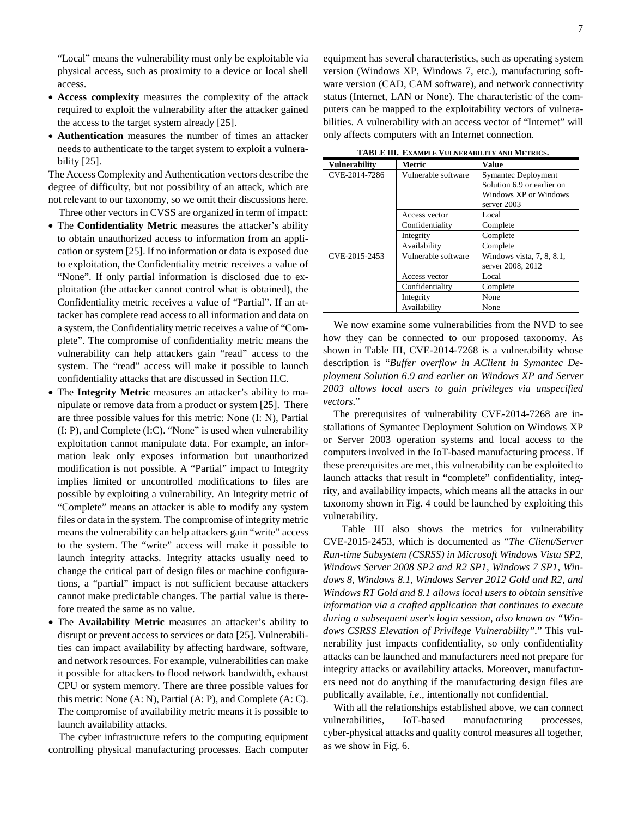"Local" means the vulnerability must only be exploitable via physical access, such as proximity to a device or local shell access.

- **Access complexity** measures the complexity of the attack required to exploit the vulnerability after the attacker gained the access to the target system already [25].
- **Authentication** measures the number of times an attacker needs to authenticate to the target system to exploit a vulnerability [25].

The Access Complexity and Authentication vectors describe the degree of difficulty, but not possibility of an attack, which are not relevant to our taxonomy, so we omit their discussions here. Three other vectors in CVSS are organized in term of impact:

- The **Confidentiality Metric** measures the attacker's ability to obtain unauthorized access to information from an application or system [25]. If no information or data is exposed due to exploitation, the Confidentiality metric receives a value of "None". If only partial information is disclosed due to exploitation (the attacker cannot control what is obtained), the Confidentiality metric receives a value of "Partial". If an attacker has complete read access to all information and data on a system, the Confidentiality metric receives a value of "Complete". The compromise of confidentiality metric means the vulnerability can help attackers gain "read" access to the system. The "read" access will make it possible to launch confidentiality attacks that are discussed in Section II.C.
- The **Integrity Metric** measures an attacker's ability to manipulate or remove data from a product or system [25]. There are three possible values for this metric: None (I: N), Partial (I: P), and Complete (I:C). "None" is used when vulnerability exploitation cannot manipulate data. For example, an information leak only exposes information but unauthorized modification is not possible. A "Partial" impact to Integrity implies limited or uncontrolled modifications to files are possible by exploiting a vulnerability. An Integrity metric of "Complete" means an attacker is able to modify any system files or data in the system. The compromise of integrity metric means the vulnerability can help attackers gain "write" access to the system. The "write" access will make it possible to launch integrity attacks. Integrity attacks usually need to change the critical part of design files or machine configurations, a "partial" impact is not sufficient because attackers cannot make predictable changes. The partial value is therefore treated the same as no value.
- The **Availability Metric** measures an attacker's ability to disrupt or prevent access to services or data [25]. Vulnerabilities can impact availability by affecting hardware, software, and network resources. For example, vulnerabilities can make it possible for attackers to flood network bandwidth, exhaust CPU or system memory. There are three possible values for this metric: None (A: N), Partial (A: P), and Complete (A: C). The compromise of availability metric means it is possible to launch availability attacks.

The cyber infrastructure refers to the computing equipment controlling physical manufacturing processes. Each computer equipment has several characteristics, such as operating system version (Windows XP, Windows 7, etc.), manufacturing software version (CAD, CAM software), and network connectivity status (Internet, LAN or None). The characteristic of the computers can be mapped to the exploitability vectors of vulnerabilities. A vulnerability with an access vector of "Internet" will only affects computers with an Internet connection.

| TADLE III. EAAMFLE VULNENADILITI AND METNICS. |                     |                            |  |
|-----------------------------------------------|---------------------|----------------------------|--|
| <b>Vulnerability</b>                          | Metric              | <b>Value</b>               |  |
| CVE-2014-7286                                 | Vulnerable software | Symantec Deployment        |  |
|                                               |                     | Solution 6.9 or earlier on |  |
|                                               |                     | Windows XP or Windows      |  |
|                                               |                     | server 2003                |  |
|                                               | Access vector       | Local                      |  |
|                                               | Confidentiality     | Complete                   |  |
|                                               | Integrity           | Complete                   |  |
|                                               | Availability        | Complete                   |  |
| CVE-2015-2453                                 | Vulnerable software | Windows vista, 7, 8, 8.1,  |  |
|                                               |                     | server 2008, 2012          |  |
|                                               | Access vector       | Local                      |  |
|                                               | Confidentiality     | Complete                   |  |
|                                               | Integrity           | None                       |  |
|                                               | Availability        | None                       |  |

**TABLE III. EXAMPLE VULNERABILITY AND METRICS.**

We now examine some vulnerabilities from the NVD to see how they can be connected to our proposed taxonomy. As shown in Table III, CVE-2014-7268 is a vulnerability whose description is "*Buffer overflow in AClient in Symantec Deployment Solution 6.9 and earlier on Windows XP and Server 2003 allows local users to gain privileges via unspecified vectors*."

The prerequisites of vulnerability CVE-2014-7268 are installations of Symantec Deployment Solution on Windows XP or Server 2003 operation systems and local access to the computers involved in the IoT-based manufacturing process. If these prerequisites are met, this vulnerability can be exploited to launch attacks that result in "complete" confidentiality, integrity, and availability impacts, which means all the attacks in our taxonomy shown in Fig. 4 could be launched by exploiting this vulnerability.

Table III also shows the metrics for vulnerability CVE-2015-2453, which is documented as "*The Client/Server Run-time Subsystem (CSRSS) in Microsoft Windows Vista SP2, Windows Server 2008 SP2 and R2 SP1, Windows 7 SP1, Windows 8, Windows 8.1, Windows Server 2012 Gold and R2, and Windows RT Gold and 8.1 allows local users to obtain sensitive information via a crafted application that continues to execute during a subsequent user's login session, also known as "Windows CSRSS Elevation of Privilege Vulnerability".*" This vulnerability just impacts confidentiality, so only confidentiality attacks can be launched and manufacturers need not prepare for integrity attacks or availability attacks. Moreover, manufacturers need not do anything if the manufacturing design files are publically available, *i.e.*, intentionally not confidential.

With all the relationships established above, we can connect vulnerabilities, IoT-based manufacturing processes, cyber-physical attacks and quality control measures all together, as we show in Fig. 6.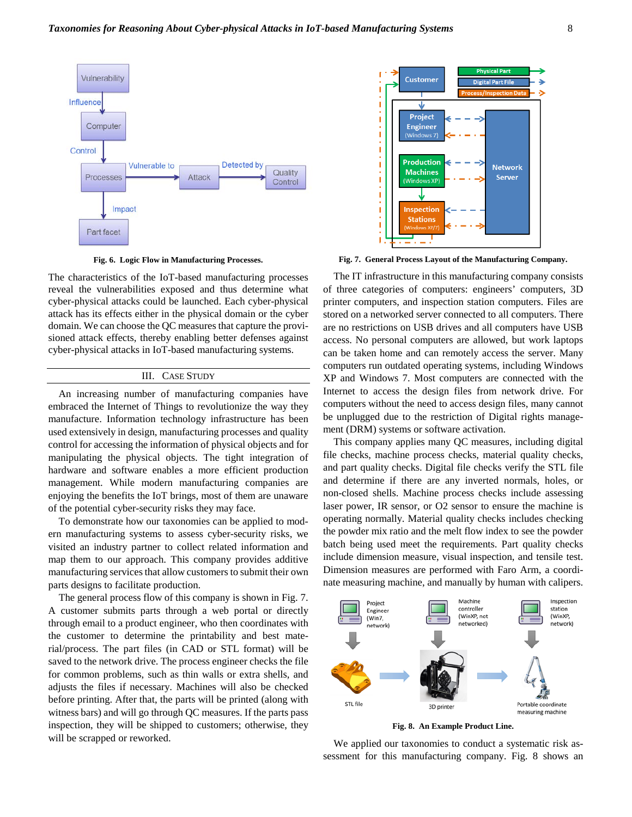

**Fig. 6. Logic Flow in Manufacturing Processes.**

The characteristics of the IoT-based manufacturing processes reveal the vulnerabilities exposed and thus determine what cyber-physical attacks could be launched. Each cyber-physical attack has its effects either in the physical domain or the cyber domain. We can choose the QC measures that capture the provisioned attack effects, thereby enabling better defenses against cyber-physical attacks in IoT-based manufacturing systems.

# III. CASE STUDY

An increasing number of manufacturing companies have embraced the Internet of Things to revolutionize the way they manufacture. Information technology infrastructure has been used extensively in design, manufacturing processes and quality control for accessing the information of physical objects and for manipulating the physical objects. The tight integration of hardware and software enables a more efficient production management. While modern manufacturing companies are enjoying the benefits the IoT brings, most of them are unaware of the potential cyber-security risks they may face.

To demonstrate how our taxonomies can be applied to modern manufacturing systems to assess cyber-security risks, we visited an industry partner to collect related information and map them to our approach. This company provides additive manufacturing services that allow customers to submit their own parts designs to facilitate production.

The general process flow of this company is shown in Fig. 7. A customer submits parts through a web portal or directly through email to a product engineer, who then coordinates with the customer to determine the printability and best material/process. The part files (in CAD or STL format) will be saved to the network drive. The process engineer checks the file for common problems, such as thin walls or extra shells, and adjusts the files if necessary. Machines will also be checked before printing. After that, the parts will be printed (along with witness bars) and will go through QC measures. If the parts pass inspection, they will be shipped to customers; otherwise, they will be scrapped or reworked.



**Fig. 7. General Process Layout of the Manufacturing Company.**

The IT infrastructure in this manufacturing company consists of three categories of computers: engineers' computers, 3D printer computers, and inspection station computers. Files are stored on a networked server connected to all computers. There are no restrictions on USB drives and all computers have USB access. No personal computers are allowed, but work laptops can be taken home and can remotely access the server. Many computers run outdated operating systems, including Windows XP and Windows 7. Most computers are connected with the Internet to access the design files from network drive. For computers without the need to access design files, many cannot be unplugged due to the restriction of Digital rights management (DRM) systems or software activation.

This company applies many QC measures, including digital file checks, machine process checks, material quality checks, and part quality checks. Digital file checks verify the STL file and determine if there are any inverted normals, holes, or non-closed shells. Machine process checks include assessing laser power, IR sensor, or O2 sensor to ensure the machine is operating normally. Material quality checks includes checking the powder mix ratio and the melt flow index to see the powder batch being used meet the requirements. Part quality checks include dimension measure, visual inspection, and tensile test. Dimension measures are performed with Faro Arm, a coordinate measuring machine, and manually by human with calipers.



**Fig. 8. An Example Product Line.**

We applied our taxonomies to conduct a systematic risk assessment for this manufacturing company. Fig. 8 shows an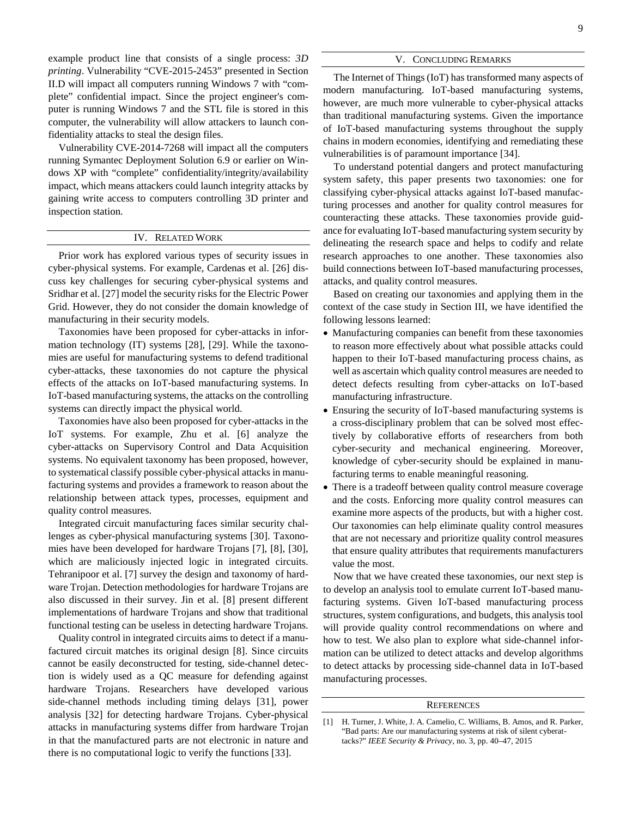example product line that consists of a single process: *3D printing*. Vulnerability "CVE-2015-2453" presented in Section II.D will impact all computers running Windows 7 with "complete" confidential impact. Since the project engineer's computer is running Windows 7 and the STL file is stored in this computer, the vulnerability will allow attackers to launch confidentiality attacks to steal the design files.

Vulnerability CVE-2014-7268 will impact all the computers running Symantec Deployment Solution 6.9 or earlier on Windows XP with "complete" confidentiality/integrity/availability impact, which means attackers could launch integrity attacks by gaining write access to computers controlling 3D printer and inspection station.

# IV. RELATED WORK

Prior work has explored various types of security issues in cyber-physical systems. For example, Cardenas et al. [26] discuss key challenges for securing cyber-physical systems and Sridhar et al. [27] model the security risks for the Electric Power Grid. However, they do not consider the domain knowledge of manufacturing in their security models.

Taxonomies have been proposed for cyber-attacks in information technology (IT) systems [28], [29]. While the taxonomies are useful for manufacturing systems to defend traditional cyber-attacks, these taxonomies do not capture the physical effects of the attacks on IoT-based manufacturing systems. In IoT-based manufacturing systems, the attacks on the controlling systems can directly impact the physical world.

Taxonomies have also been proposed for cyber-attacks in the IoT systems. For example, Zhu et al. [6] analyze the cyber-attacks on Supervisory Control and Data Acquisition systems. No equivalent taxonomy has been proposed, however, to systematical classify possible cyber-physical attacks in manufacturing systems and provides a framework to reason about the relationship between attack types, processes, equipment and quality control measures.

Integrated circuit manufacturing faces similar security challenges as cyber-physical manufacturing systems [30]. Taxonomies have been developed for hardware Trojans [7], [8], [30], which are maliciously injected logic in integrated circuits. Tehranipoor et al. [7] survey the design and taxonomy of hardware Trojan. Detection methodologies for hardware Trojans are also discussed in their survey. Jin et al. [8] present different implementations of hardware Trojans and show that traditional functional testing can be useless in detecting hardware Trojans.

Quality control in integrated circuits aims to detect if a manufactured circuit matches its original design [8]. Since circuits cannot be easily deconstructed for testing, side-channel detection is widely used as a QC measure for defending against hardware Trojans. Researchers have developed various side-channel methods including timing delays [31], power analysis [32] for detecting hardware Trojans. Cyber-physical attacks in manufacturing systems differ from hardware Trojan in that the manufactured parts are not electronic in nature and there is no computational logic to verify the functions [33].

### V. CONCLUDING REMARKS

The Internet of Things (IoT) has transformed many aspects of modern manufacturing. IoT-based manufacturing systems, however, are much more vulnerable to cyber-physical attacks than traditional manufacturing systems. Given the importance of IoT-based manufacturing systems throughout the supply chains in modern economies, identifying and remediating these vulnerabilities is of paramount importance [34].

To understand potential dangers and protect manufacturing system safety, this paper presents two taxonomies: one for classifying cyber-physical attacks against IoT-based manufacturing processes and another for quality control measures for counteracting these attacks. These taxonomies provide guidance for evaluating IoT-based manufacturing system security by delineating the research space and helps to codify and relate research approaches to one another. These taxonomies also build connections between IoT-based manufacturing processes, attacks, and quality control measures.

Based on creating our taxonomies and applying them in the context of the case study in Section III, we have identified the following lessons learned:

- Manufacturing companies can benefit from these taxonomies to reason more effectively about what possible attacks could happen to their IoT-based manufacturing process chains, as well as ascertain which quality control measures are needed to detect defects resulting from cyber-attacks on IoT-based manufacturing infrastructure.
- Ensuring the security of IoT-based manufacturing systems is a cross-disciplinary problem that can be solved most effectively by collaborative efforts of researchers from both cyber-security and mechanical engineering. Moreover, knowledge of cyber-security should be explained in manufacturing terms to enable meaningful reasoning.
- There is a tradeoff between quality control measure coverage and the costs. Enforcing more quality control measures can examine more aspects of the products, but with a higher cost. Our taxonomies can help eliminate quality control measures that are not necessary and prioritize quality control measures that ensure quality attributes that requirements manufacturers value the most.

Now that we have created these taxonomies, our next step is to develop an analysis tool to emulate current IoT-based manufacturing systems. Given IoT-based manufacturing process structures, system configurations, and budgets, this analysis tool will provide quality control recommendations on where and how to test. We also plan to explore what side-channel information can be utilized to detect attacks and develop algorithms to detect attacks by processing side-channel data in IoT-based manufacturing processes.

## **REFERENCES**

<sup>[1]</sup> H. Turner, J. White, J. A. Camelio, C. Williams, B. Amos, and R. Parker, "Bad parts: Are our manufacturing systems at risk of silent cyberattacks?" *IEEE Security & Privacy,* no. 3, pp. 40–47, 2015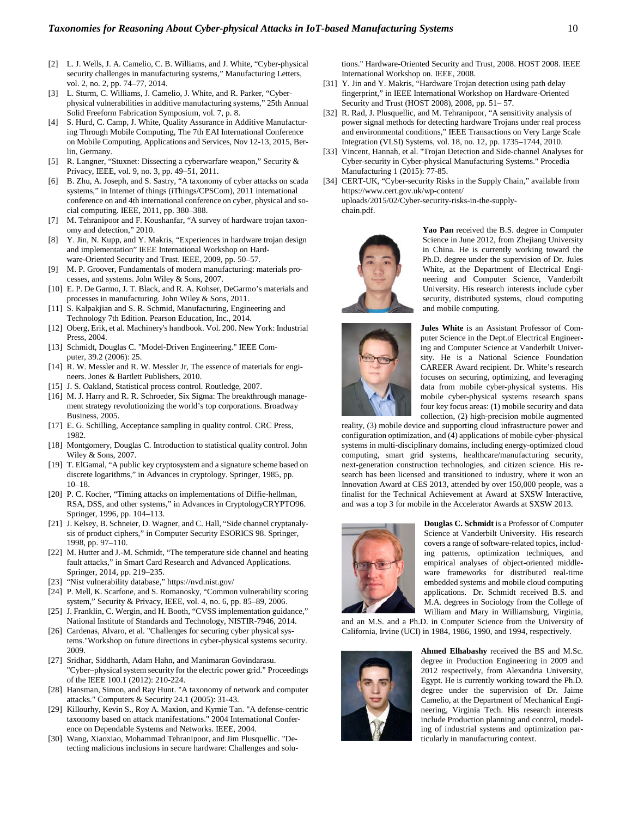- [2] L. J. Wells, J. A. Camelio, C. B. Williams, and J. White, "Cyber-physical security challenges in manufacturing systems," Manufacturing Letters, vol. 2, no. 2, pp. 74–77, 2014.
- [3] L. Sturm, C. Williams, J. Camelio, J. White, and R. Parker, "Cyberphysical vulnerabilities in additive manufacturing systems," 25th Annual Solid Freeform Fabrication Symposium, vol. 7, p. 8.
- [4] S. Hurd, C. Camp, J. White, Quality Assurance in Additive Manufacturing Through Mobile Computing, The 7th EAI International Conference on Mobile Computing, Applications and Services, Nov 12-13, 2015, Berlin, Germany.
- [5] R. Langner, "Stuxnet: Dissecting a cyberwarfare weapon," Security & Privacy, IEEE, vol. 9, no. 3, pp. 49–51, 2011.
- [6] B. Zhu, A. Joseph, and S. Sastry, "A taxonomy of cyber attacks on scada systems," in Internet of things (iThings/CPSCom), 2011 international conference on and 4th international conference on cyber, physical and social computing. IEEE, 2011, pp. 380–388.
- [7] M. Tehranipoor and F. Koushanfar, "A survey of hardware trojan taxonomy and detection," 2010.
- [8] Y. Jin, N. Kupp, and Y. Makris, "Experiences in hardware trojan design and implementation" IEEE International Workshop on Hardware-Oriented Security and Trust. IEEE, 2009, pp. 50–57.
- M. P. Groover, Fundamentals of modern manufacturing: materials processes, and systems. John Wiley & Sons, 2007.
- [10] E. P. De Garmo, J. T. Black, and R. A. Kohser, DeGarmo's materials and processes in manufacturing. John Wiley & Sons, 2011.
- [11] S. Kalpakjian and S. R. Schmid, Manufacturing, Engineering and Technology 7th Edition. Pearson Education, Inc., 2014.
- [12] Oberg, Erik, et al. Machinery's handbook. Vol. 200. New York: Industrial Press, 2004.
- [13] Schmidt, Douglas C. "Model-Driven Engineering." IEEE Computer, 39.2 (2006): 25.
- [14] R. W. Messler and R. W. Messler Jr, The essence of materials for engineers. Jones & Bartlett Publishers, 2010.
- [15] J. S. Oakland, Statistical process control. Routledge, 2007.
- [16] M. J. Harry and R. R. Schroeder, Six Sigma: The breakthrough management strategy revolutionizing the world's top corporations. Broadway Business, 2005.
- [17] E. G. Schilling, Acceptance sampling in quality control. CRC Press, 1982.
- [18] Montgomery, Douglas C. Introduction to statistical quality control. John Wiley & Sons, 2007.
- [19] T. ElGamal, "A public key cryptosystem and a signature scheme based on discrete logarithms," in Advances in cryptology. Springer, 1985, pp. 10–18.
- [20] P. C. Kocher, "Timing attacks on implementations of Diffie-hellman, RSA, DSS, and other systems," in Advances in CryptologyCRYPTO96. Springer, 1996, pp. 104–113.
- [21] J. Kelsey, B. Schneier, D. Wagner, and C. Hall, "Side channel cryptanalysis of product ciphers," in Computer Security ESORICS 98. Springer, 1998, pp. 97–110.
- [22] M. Hutter and J.-M. Schmidt, "The temperature side channel and heating fault attacks," in Smart Card Research and Advanced Applications. Springer, 2014, pp. 219–235.
- [23] "Nist vulnerability database,[" https://nvd.nist.gov/](https://nvd.nist.gov/)
- [24] P. Mell, K. Scarfone, and S. Romanosky, "Common vulnerability scoring system," Security & Privacy, IEEE, vol. 4, no. 6, pp. 85–89, 2006.
- J. Franklin, C. Wergin, and H. Booth, "CVSS implementation guidance," National Institute of Standards and Technology, NISTIR-7946, 2014.
- [26] Cardenas, Alvaro, et al. "Challenges for securing cyber physical systems."Workshop on future directions in cyber-physical systems security. 2009.
- [27] Sridhar, Siddharth, Adam Hahn, and Manimaran Govindarasu. "Cyber–physical system security for the electric power grid." Proceedings of the IEEE 100.1 (2012): 210-224.
- [28] Hansman, Simon, and Ray Hunt. "A taxonomy of network and computer attacks." Computers & Security 24.1 (2005): 31-43.
- [29] Killourhy, Kevin S., Roy A. Maxion, and Kymie Tan. "A defense-centric taxonomy based on attack manifestations." 2004 International Conference on Dependable Systems and Networks. IEEE, 2004.
- [30] Wang, Xiaoxiao, Mohammad Tehranipoor, and Jim Plusquellic. "Detecting malicious inclusions in secure hardware: Challenges and solu-

tions." Hardware-Oriented Security and Trust, 2008. HOST 2008. IEEE International Workshop on. IEEE, 2008.

- [31] Y. Jin and Y. Makris, "Hardware Trojan detection using path delay fingerprint," in IEEE International Workshop on Hardware-Oriented Security and Trust (HOST 2008), 2008, pp. 51– 57.
- [32] R. Rad, J. Plusquellic, and M. Tehranipoor, "A sensitivity analysis of power signal methods for detecting hardware Trojans under real process and environmental conditions,[" IEEE Transactions on Very Large Scale](http://ieeexplore.ieee.org/xpl/RecentIssue.jsp?punumber=92)  [Integration \(VLSI\) Systems,](http://ieeexplore.ieee.org/xpl/RecentIssue.jsp?punumber=92) vol. 18, no. 12, pp. 1735–1744, 2010.
- [33] Vincent, Hannah, et al. "Trojan Detection and Side-channel Analyses for Cyber-security in Cyber-physical Manufacturing Systems." Procedia Manufacturing 1 (2015): 77-85.
- [34] CERT-UK, "Cyber-security Risks in the Supply Chain," available from https://www.cert.gov.uk/wp-content/ uploads/2015/02/Cyber-security-risks-in-the-supplychain.pdf.



**Yao Pan** received the B.S. degree in Computer Science in June 2012, from Zhejiang University in China. He is currently working toward the Ph.D. degree under the supervision of Dr. Jules White, at the Department of Electrical Engineering and Computer Science, Vanderbilt University. His research interests include cyber security, distributed systems, cloud computing and mobile computing.



**Jules White** is an Assistant Professor of Computer Science in the Dept.of Electrical Engineering and Computer Science at Vanderbilt University. He is a National Science Foundation CAREER Award recipient. Dr. White's research focuses on securing, optimizing, and leveraging data from mobile cyber-physical systems. His mobile cyber-physical systems research spans four key focus areas: (1) mobile security and data collection, (2) high-precision mobile augmented

reality, (3) mobile device and supporting cloud infrastructure power and configuration optimization, and (4) applications of mobile cyber-physical systems in multi-disciplinary domains, including energy-optimized cloud computing, smart grid systems, healthcare/manufacturing security, next-generation construction technologies, and citizen science. His research has been licensed and transitioned to industry, where it won an Innovation Award at CES 2013, attended by over 150,000 people, was a finalist for the Technical Achievement at Award at SXSW Interactive, and was a top 3 for mobile in the Accelerator Awards at SXSW 2013.



**Douglas C. Schmidt** is a Professor of Computer Science at Vanderbilt University. His research covers a range of software-related topics, including patterns, optimization techniques, and empirical analyses of object-oriented middleware frameworks for distributed real-time embedded systems and mobile cloud computing applications. Dr. Schmidt received B.S. and M.A. degrees in Sociology from the College of William and Mary in Williamsburg, Virginia,

and an M.S. and a Ph.D. in Computer Science from the University of California, Irvine (UCI) in 1984, 1986, 1990, and 1994, respectively.



**Ahmed Elhabashy** received the BS and M.Sc. degree in Production Engineering in 2009 and 2012 respectively, from Alexandria University, Egypt. He is currently working toward the Ph.D. degree under the supervision of Dr. Jaime Camelio, at the Department of Mechanical Engineering, Virginia Tech. His research interests include Production planning and control, modeling of industrial systems and optimization particularly in manufacturing context.